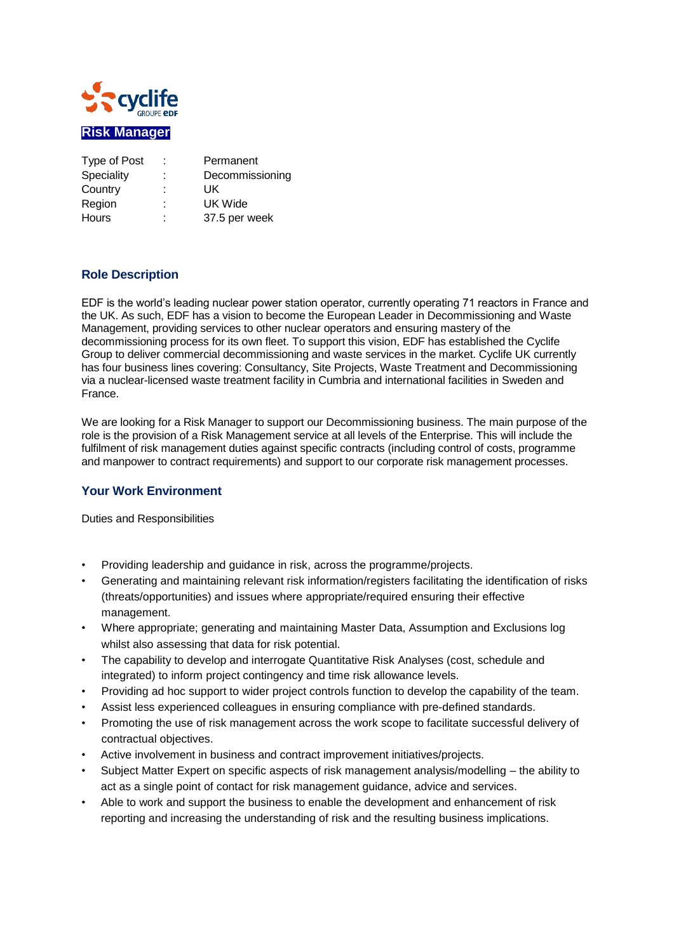

| Type of Post | ÷      | Permanent       |
|--------------|--------|-----------------|
| Speciality   | ٠      | Decommissioning |
| Country      | ٠<br>۰ | UK              |
| Region       | ٠      | UK Wide         |
| <b>Hours</b> | ٠<br>٠ | 37.5 per week   |

## **Role Description**

EDF is the world's leading nuclear power station operator, currently operating 71 reactors in France and the UK. As such, EDF has a vision to become the European Leader in Decommissioning and Waste Management, providing services to other nuclear operators and ensuring mastery of the decommissioning process for its own fleet. To support this vision, EDF has established the Cyclife Group to deliver commercial decommissioning and waste services in the market. Cyclife UK currently has four business lines covering: Consultancy, Site Projects, Waste Treatment and Decommissioning via a nuclear-licensed waste treatment facility in Cumbria and international facilities in Sweden and France.

We are looking for a Risk Manager to support our Decommissioning business. The main purpose of the role is the provision of a Risk Management service at all levels of the Enterprise. This will include the fulfilment of risk management duties against specific contracts (including control of costs, programme and manpower to contract requirements) and support to our corporate risk management processes.

## **Your Work Environment**

Duties and Responsibilities

- Providing leadership and guidance in risk, across the programme/projects.
- Generating and maintaining relevant risk information/registers facilitating the identification of risks (threats/opportunities) and issues where appropriate/required ensuring their effective management.
- Where appropriate; generating and maintaining Master Data, Assumption and Exclusions log whilst also assessing that data for risk potential.
- The capability to develop and interrogate Quantitative Risk Analyses (cost, schedule and integrated) to inform project contingency and time risk allowance levels.
- Providing ad hoc support to wider project controls function to develop the capability of the team.
- Assist less experienced colleagues in ensuring compliance with pre-defined standards.
- Promoting the use of risk management across the work scope to facilitate successful delivery of contractual objectives.
- Active involvement in business and contract improvement initiatives/projects.
- Subject Matter Expert on specific aspects of risk management analysis/modelling the ability to act as a single point of contact for risk management guidance, advice and services.
- Able to work and support the business to enable the development and enhancement of risk reporting and increasing the understanding of risk and the resulting business implications.